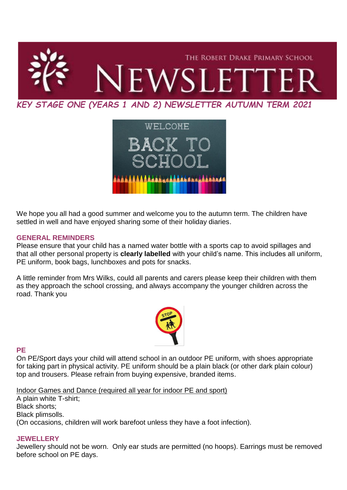



We hope you all had a good summer and welcome you to the autumn term. The children have settled in well and have enjoyed sharing some of their holiday diaries.

### **GENERAL REMINDERS**

Please ensure that your child has a named water bottle with a sports cap to avoid spillages and that all other personal property is **clearly labelled** with your child's name. This includes all uniform, PE uniform, book bags, lunchboxes and pots for snacks.

A little reminder from Mrs Wilks, could all parents and carers please keep their children with them as they approach the school crossing, and always accompany the younger children across the road. Thank you



### **PE**

On PE/Sport days your child will attend school in an outdoor PE uniform, with shoes appropriate for taking part in physical activity. PE uniform should be a plain black (or other dark plain colour) top and trousers. Please refrain from buying expensive, branded items.

Indoor Games and Dance (required all year for indoor PE and sport)

A plain white T-shirt; Black shorts; Black plimsolls. (On occasions, children will work barefoot unless they have a foot infection).

## **JEWELLERY**

Jewellery should not be worn. Only ear studs are permitted (no hoops). Earrings must be removed before school on PE days.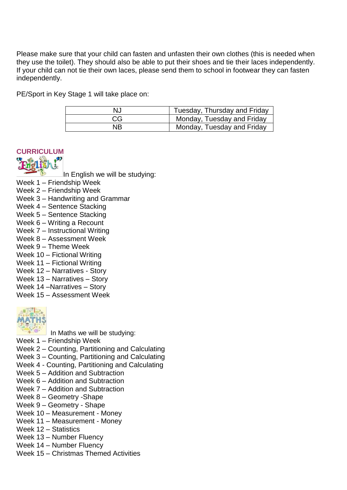Please make sure that your child can fasten and unfasten their own clothes (this is needed when they use the toilet). They should also be able to put their shoes and tie their laces independently. If your child can not tie their own laces, please send them to school in footwear they can fasten independently.

PE/Sport in Key Stage 1 will take place on:

| NJ | Tuesday, Thursday and Friday |
|----|------------------------------|
| CG | Monday, Tuesday and Friday   |
| ΝB | Monday, Tuesday and Friday   |





In English we will be studying:

- Week 1 Friendship Week
- Week 2 Friendship Week
- Week 3 Handwriting and Grammar
- Week 4 Sentence Stacking
- Week 5 Sentence Stacking
- Week 6 Writing a Recount
- Week 7 Instructional Writing
- Week 8 Assessment Week
- Week 9 Theme Week
- Week 10 Fictional Writing
- Week 11 Fictional Writing
- Week 12 Narratives Story
- Week 13 Narratives Story
- Week 14 –Narratives Story
- Week 15 Assessment Week



In Maths we will be studying:

- Week 1 Friendship Week
- Week 2 Counting, Partitioning and Calculating
- Week 3 Counting, Partitioning and Calculating
- Week 4 Counting, Partitioning and Calculating
- Week 5 Addition and Subtraction
- Week 6 Addition and Subtraction
- Week 7 Addition and Subtraction
- Week 8 Geometry -Shape
- Week 9 Geometry Shape
- Week 10 Measurement Money
- Week 11 Measurement Money
- Week 12 Statistics
- Week 13 Number Fluency
- Week 14 Number Fluency
- Week 15 Christmas Themed Activities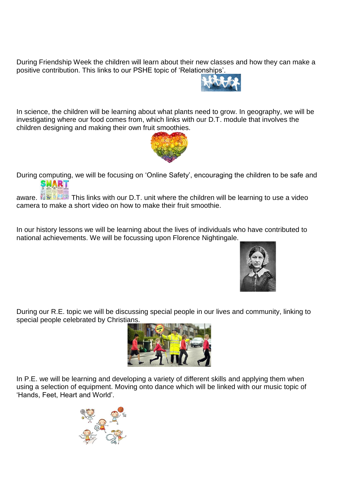During Friendship Week the children will learn about their new classes and how they can make a positive contribution. This links to our PSHE topic of 'Relationships'.



In science, the children will be learning about what plants need to grow. In geography, we will be investigating where our food comes from, which links with our D.T. module that involves the children designing and making their own fruit smoothies.



During computing, we will be focusing on 'Online Safety', encouraging the children to be safe and SMART

aware. **This links with our D.T. unit where the children will be learning to use a video** camera to make a short video on how to make their fruit smoothie.

In our history lessons we will be learning about the lives of individuals who have contributed to national achievements. We will be focussing upon Florence Nightingale.



During our R.E. topic we will be discussing special people in our lives and community, linking to special people celebrated by Christians.



In P.E. we will be learning and developing a variety of different skills and applying them when using a selection of equipment. Moving onto dance which will be linked with our music topic of 'Hands, Feet, Heart and World'.